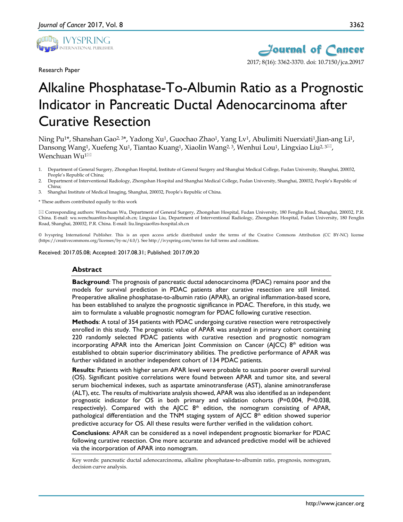

Research Paper



# Alkaline Phosphatase-To-Albumin Ratio as a Prognostic Indicator in Pancreatic Ductal Adenocarcinoma after Curative Resection

Ning Pu<sup>1\*</sup>, Shanshan Gao<sup>2, 3\*</sup>, Yadong Xu<sup>1</sup>, Guochao Zhao<sup>1</sup>, Yang Lv<sup>1</sup>, Abulimiti Nuerxiati<sup>1</sup>, Jian-ang Li<sup>1</sup>, Dansong Wang<sup>1</sup>, Xuefeng Xu<sup>1</sup>, Tiantao Kuang<sup>1</sup>, Xiaolin Wang<sup>2, 3</sup>, Wenhui Lou<sup>1</sup>, Lingxiao Liu<sup>2, 3 $\boxtimes$ ,</sup> Wenchuan Wu<sup>1⊠</sup>

- 1. Department of General Surgery, Zhongshan Hospital, Institute of General Surgery and Shanghai Medical College, Fudan University, Shanghai, 200032, People's Republic of China;
- 2. Department of Interventional Radiology, Zhongshan Hospital and Shanghai Medical College, Fudan University, Shanghai, 200032, People's Republic of China;
- 3. Shanghai Institute of Medical Imaging, Shanghai, 200032, People's Republic of China.

\* These authors contributed equally to this work

 Corresponding authors: Wenchuan Wu, Department of General Surgery, Zhongshan Hospital, Fudan University, 180 Fenglin Road, Shanghai, 200032, P.R. China. E-mail: wu.wenchuan@zs-hospital.sh.cn; Lingxiao Liu, Department of Interventional Radiology, Zhongshan Hospital, Fudan University, 180 Fenglin Road, Shanghai, 200032, P.R. China. E-mail: liu.lingxiao@zs-hospital.sh.cn

© Ivyspring International Publisher. This is an open access article distributed under the terms of the Creative Commons Attribution (CC BY-NC) license (https://creativecommons.org/licenses/by-nc/4.0/). See http://ivyspring.com/terms for full terms and conditions.

Received: 2017.05.08; Accepted: 2017.08.31; Published: 2017.09.20

#### **Abstract**

**Background**: The prognosis of pancreatic ductal adenocarcinoma (PDAC) remains poor and the models for survival prediction in PDAC patients after curative resection are still limited. Preoperative alkaline phosphatase-to-albumin ratio (APAR), an original inflammation-based score, has been established to analyze the prognostic significance in PDAC. Therefore, in this study, we aim to formulate a valuable prognostic nomogram for PDAC following curative resection.

**Methods**: A total of 354 patients with PDAC undergoing curative resection were retrospectively enrolled in this study. The prognostic value of APAR was analyzed in primary cohort containing 220 randomly selected PDAC patients with curative resection and prognostic nomogram incorporating APAR into the American Joint Commission on Cancer ( $A$ JCC)  $8<sup>th</sup>$  edition was established to obtain superior discriminatory abilities. The predictive performance of APAR was further validated in another independent cohort of 134 PDAC patients.

**Results**: Patients with higher serum APAR level were probable to sustain poorer overall survival (OS). Significant positive correlations were found between APAR and tumor site, and several serum biochemical indexes, such as aspartate aminotransferase (AST), alanine aminotransferase (ALT), etc. The results of multivariate analysis showed, APAR was also identified as an independent prognostic indicator for OS in both primary and validation cohorts (P=0.004, P=0.038, respectively). Compared with the AJCC  $8<sup>th</sup>$  edition, the nomogram consisting of APAR, pathological differentiation and the TNM staging system of  $A$ JCC  $8<sup>th</sup>$  edition showed superior predictive accuracy for OS. All these results were further verified in the validation cohort.

**Conclusions**: APAR can be considered as a novel independent prognostic biomarker for PDAC following curative resection. One more accurate and advanced predictive model will be achieved via the incorporation of APAR into nomogram.

Key words: pancreatic ductal adenocarcinoma, alkaline phosphatase-to-albumin ratio, prognosis, nomogram, decision curve analysis.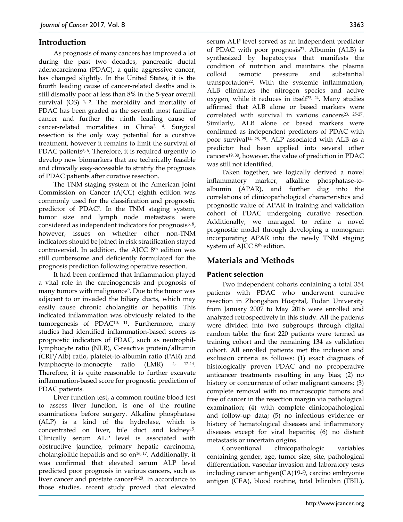# **Introduction**

As prognosis of many cancers has improved a lot during the past two decades, pancreatic ductal adenocarcinoma (PDAC), a quite aggressive cancer, has changed slightly. In the United States, it is the fourth leading cause of cancer-related deaths and is still dismally poor at less than 8% in the 5-year overall survival  $(OS)$ <sup>1, 2</sup>. The morbidity and mortality of PDAC has been graded as the seventh most familiar cancer and further the ninth leading cause of cancer-related mortalities in China3, 4. Surgical resection is the only way potential for a curative treatment, however it remains to limit the survival of PDAC patients<sup>5, 6</sup>. Therefore, it is required urgently to develop new biomarkers that are technically feasible and clinically easy-accessible to stratify the prognosis of PDAC patients after curative resection.

The TNM staging system of the American Joint Commission on Cancer (AJCC) eighth edition was commonly used for the classification and prognostic predictor of PDAC7. In the TNM staging system, tumor size and lymph node metastasis were considered as independent indicators for prognosis<sup>6, 8</sup>, however, issues on whether other non-TNM indicators should be joined in risk stratification stayed controversial. In addition, the AJCC 8<sup>th</sup> edition was still cumbersome and deficiently formulated for the prognosis prediction following operative resection.

It had been confirmed that Inflammation played a vital role in the carcinogenesis and prognosis of many tumors with malignance9. Due to the tumor was adjacent to or invaded the biliary ducts, which may easily cause chronic cholangitis or hepatitis. This indicated inflammation was obviously related to the tumorgenesis of PDAC10, 11. Furthermore, many studies had identified inflammation-based scores as prognostic indicators of PDAC, such as neutrophillymphocyte ratio (NLR), C-reactive protein/albumin (CRP/Alb) ratio, platelet-to-albumin ratio (PAR) and lymphocyte-to-monocyte ratio (LMR) 4, 12-14. Therefore, it is quite reasonable to further excavate inflammation-based score for prognostic prediction of PDAC patients.

Liver function test, a common routine blood test to assess liver function, is one of the routine examinations before surgery. Alkaline phosphatase (ALP) is a kind of the hydrolase, which is concentrated on liver, bile duct and kidney15. Clinically serum ALP level is associated with obstructive jaundice, primary hepatic carcinoma, cholangiolitic hepatitis and so on<sup>16, 17</sup>. Additionally, it was confirmed that elevated serum ALP level predicted poor prognosis in various cancers, such as liver cancer and prostate cancer<sup>18-20</sup>. In accordance to those studies, recent study proved that elevated

serum ALP level served as an independent predictor of PDAC with poor prognosis21. Albumin (ALB) is synthesized by hepatocytes that manifests the condition of nutrition and maintains the plasma colloid osmotic pressure and substantial transportation<sup>22</sup>. With the systemic inflammation, ALB eliminates the nitrogen species and active oxygen, while it reduces in itself<sup>23, 24</sup>. Many studies affirmed that ALB alone or based markers were correlated with survival in various cancers<sup>23, 25-27</sup>. Similarly, ALB alone or based markers were confirmed as independent predictors of PDAC with poor survival14, 28, 29. ALP associated with ALB as a predictor had been applied into several other cancers19, 30, however, the value of prediction in PDAC was still not identified.

Taken together, we logically derived a novel inflammatory marker, alkaline phosphatase-toalbumin (APAR), and further dug into the correlations of clinicopathological characteristics and prognostic value of APAR in training and validation cohort of PDAC undergoing curative resection. Additionally, we managed to refine a novel prognostic model through developing a nomogram incorporating APAR into the newly TNM staging system of AJCC 8th edition.

# **Materials and Methods**

# **Patient selection**

Two independent cohorts containing a total 354 patients with PDAC who underwent curative resection in Zhongshan Hospital, Fudan University from January 2007 to May 2016 were enrolled and analyzed retrospectively in this study. All the patients were divided into two subgroups through digital random table: the first 220 patients were termed as training cohort and the remaining 134 as validation cohort. All enrolled patients met the inclusion and exclusion criteria as follows: (1) exact diagnosis of histologically proven PDAC and no preoperative anticancer treatments resulting in any bias; (2) no history or concurrence of other malignant cancers; (3) complete removal with no macroscopic tumors and free of cancer in the resection margin via pathological examination; (4) with complete clinicopathological and follow-up data; (5) no infectious evidence or history of hematological diseases and inflammatory diseases except for viral hepatitis; (6) no distant metastasis or uncertain origins.

Conventional clinicopathologic variables containing gender, age, tumor size, site, pathological differentiation, vascular invasion and laboratory tests including cancer antigen(CA)19-9, carcino embryonie antigen (CEA), blood routine, total bilirubin (TBIL),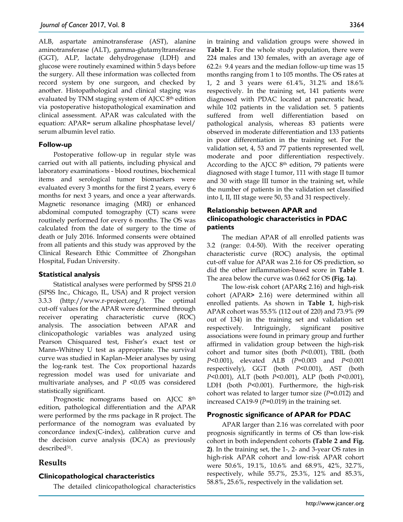ALB, aspartate aminotransferase (AST), alanine aminotransferase (ALT), gamma-glutamyltransferase (GGT), ALP, lactate dehydrogenase (LDH) and glucose were routinely examined within 5 days before the surgery. All these information was collected from record system by one surgeon, and checked by another. Histopathological and clinical staging was evaluated by TNM staging system of AJCC 8th edition via postoperative histopathological examination and clinical assessment. APAR was calculated with the equation: APAR= serum alkaline phosphatase level/ serum albumin level ratio.

#### **Follow-up**

Postoperative follow-up in regular style was carried out with all patients, including physical and laboratory examinations - blood routines, biochemical items and serological tumor biomarkers were evaluated every 3 months for the first 2 years, every 6 months for next 3 years, and once a year afterwards. Magnetic resonance imaging (MRI) or enhanced abdominal computed tomography (CT) scans were routinely performed for every 6 months. The OS was calculated from the date of surgery to the time of death or July 2016. Informed consents were obtained from all patients and this study was approved by the Clinical Research Ethic Committee of Zhongshan Hospital, Fudan University.

#### **Statistical analysis**

Statistical analyses were performed by SPSS 21.0 (SPSS Inc., Chicago, IL, USA) and R project version 3.3.3 (http://www.r-project.org/). The optimal cut-off values for the APAR were determined through receiver operating characteristic curve (ROC) analysis. The association between APAR and clinicopathologic variables was analyzed using Pearson Chisquared test, Fisher's exact test or Mann–Whitney U test as appropriate. The survival curve was studied in Kaplan–Meier analyses by using the log-rank test. The Cox proportional hazards regression model was used for univariate and multivariate analyses, and *P* <0.05 was considered statistically significant.

Prognostic nomograms based on AJCC 8<sup>th</sup> edition, pathological differentiation and the APAR were performed by the rms package in R project. The performance of the nomogram was evaluated by concordance index(C-index), calibration curve and the decision curve analysis (DCA) as previously described<sup>31</sup>.

# **Results**

## **Clinicopathological characteristics**

The detailed clinicopathological characteristics

in training and validation groups were showed in **Table 1**. For the whole study population, there were 224 males and 130 females, with an average age of  $62.2 \pm 9.4$  years and the median follow-up time was 15 months ranging from 1 to 105 months. The OS rates at 1, 2 and 3 years were 61.4%, 31.2% and 18.6% respectively. In the training set, 141 patients were diagnosed with PDAC located at pancreatic head, while 102 patients in the validation set. 5 patients suffered from well differentiation based on pathological analysis, whereas 83 patients were observed in moderate differentiation and 133 patients in poor differentiation in the training set. For the validation set, 4, 53 and 77 patients represented well, moderate and poor differentiation respectively. According to the AJCC 8th edition, 79 patients were diagnosed with stage I tumor, 111 with stage II tumor and 30 with stage III tumor in the training set, while the number of patients in the validation set classified into I, II, III stage were 50, 53 and 31 respectively.

## **Relationship between APAR and clinicopathologic characteristics in PDAC patients**

The median APAR of all enrolled patients was 3.2 (range: 0.4-50). With the receiver operating characteristic curve (ROC) analysis, the optimal cut-off value for APAR was 2.16 for OS prediction, so did the other inflammation-based score in **Table 1**. The area below the curve was 0.662 for OS **(Fig. 1a)**.

The low-risk cohort (APAR≤ 2.16) and high-risk cohort (APAR**>** 2.16) were determined within all enrolled patients. As shown in **Table 1**, high-risk APAR cohort was 55.5% (112 out of 220) and 73.9% (99 out of 134) in the training set and validation set respectively. Intriguingly, significant positive associations were found in primary group and further affirmed in validation group between the high-risk cohort and tumor sites (both *P*<0.001), TBIL (both *P*<0.001), elevated ALB (*P*=0.003 and *P*<0.001 respectively), GGT (both *P*<0.001), AST (both *P*<0.001), ALT (both *P*<0.001), ALP (both *P*<0.001), LDH (both *P*<0.001). Furthermore, the high-risk cohort was related to larger tumor size (*P*=0.012) and increased CA19-9 (*P*=0.019) in the training set.

#### **Prognostic significance of APAR for PDAC**

APAR larger than 2.16 was correlated with poor prognosis significantly in terms of OS than low-risk cohort in both independent cohorts **(Table 2 and Fig. 2)**. In the training set, the 1-, 2- and 3-year OS rates in high-risk APAR cohort and low-risk APAR cohort were 50.6%, 19.1%, 10.6% and 68.9%, 42%, 32.7%, respectively, while 55.7%, 25.3%, 12% and 85.3%, 58.8%, 25.6%, respectively in the validation set.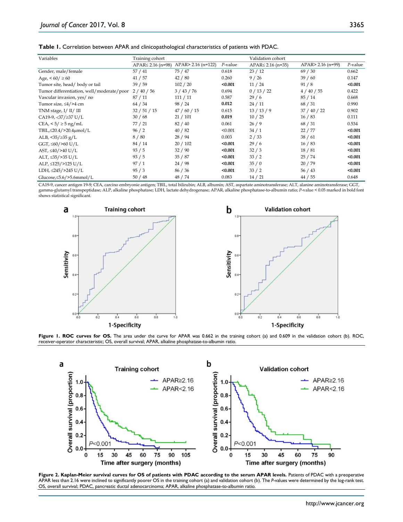| <b>Table 1.</b> Correlation between APAR and clinicopathological characteristics of patients with PDAC. |  |
|---------------------------------------------------------------------------------------------------------|--|
|---------------------------------------------------------------------------------------------------------|--|

| Variables                                 | Training cohort         |                    |         | Validation cohort       |                   |         |
|-------------------------------------------|-------------------------|--------------------|---------|-------------------------|-------------------|---------|
|                                           |                         |                    | P-value |                         |                   |         |
|                                           | $APAR \leq 2.16$ (n=98) | APAR> 2.16 (n=122) |         | $APAR \leq 2.16$ (n=35) | APAR> 2.16 (n=99) | P-value |
| Gender, male/female                       | 57 / 41                 | 75 / 47            | 0.618   | 23/12                   | 69/30             | 0.662   |
| Age, $560 / \ge 60$                       | 41 / 57                 | 42/80              | 0.260   | 9/26                    | 39/60             | 0.147   |
| Tumor site, head/body or tail             | 39/59                   | 102 / 20           | < 0.001 | 11/24                   | 91/8              | < 0.001 |
| Tumor differentiation, well/moderate/poor | 2/40/56                 | 3 / 43 / 76        | 0.694   | 0/13/22                 | 4/40/55           | 0.422   |
| Vascular invasion, yes/ no                | 87/11                   | 111 / 11           | 0.587   | 29/6                    | 85/14             | 0.668   |
| Tumor size, $\leq 4$ />4 cm               | 64 / 34                 | 98 / 24            | 0.012   | 24/11                   | 68 / 31           | 0.990   |
| TNM stage, $I/II/III$                     | 32 / 51 / 15            | 47/60/15           | 0.615   | 13/13/9                 | 37/40/22          | 0.902   |
| CA19-9, <37/ $\geq$ 37 U/L                | 30/68                   | 21/101             | 0.019   | 10/25                   | 16/83             | 0.111   |
| CEA, $\leq 5/25$ ng/mL                    | 77 / 21                 | 82 / 40            | 0.061   | 26/9                    | 68 / 31           | 0.534   |
| TBIL,≤20.4/>20.4µmol/L                    | 96/2                    | 40/82              | < 0.001 | 34/1                    | 22/77             | < 0.001 |
| ALB, $\langle 35/235 \text{ g/L} \rangle$ | 8/80                    | 28/94              | 0.003   | 2/33                    | 38/61             | < 0.001 |
| GGT, $\leq 60$ />60 U/L                   | 84/14                   | 20/102             | < 0.001 | 29/6                    | 16/83             | < 0.001 |
| AST, $\leq 40/>40$ U/L                    | 93/5                    | 32/90              | < 0.001 | 32/3                    | 18/81             | < 0.001 |
| ALT, $\leq$ 35/>35 U/L                    | 93/5                    | 35/87              | < 0.001 | 33/2                    | 25/74             | < 0.001 |
| ALP, $\leq$ 125/>125 U/L                  | 97/1                    | 24/98              | < 0.001 | 35/0                    | 20/79             | < 0.001 |
| LDH, $\leq$ 245/>245 U/L                  | 95/3                    | 86 / 36            | < 0.001 | 33/2                    | 56/43             | < 0.001 |
| Glucose, $\leq$ 5.6/ $>$ 5.6mmol/L        | 50/48                   | 48 / 74            | 0.083   | 14/21                   | 44 / 55           | 0.648   |

CA19-9, cancer antigen 19-9; CEA, carcino embryonie antigen; TBIL, total bilirubin; ALB, albumin; AST, aspartate aminotransferase; ALT, alanine aminotransferase; GGT, gamma-glutamyl transpeptidase; ALP, alkaline phosphatase; LDH, lactate dehydrogenase; APAR, alkaline phosphatase-to-albumin ratio; *P*-value < 0.05 marked in bold font shows statistical significant.



Figure 1. ROC curves for OS. The area under the curve for APAR was 0.662 in the training cohort (a) and 0.609 in the validation cohort (b). ROC, receiver-operator characteristic; OS, overall survival; APAR, alkaline phosphatase-to-albumin ratio.



**Figure 2. Kaplan-Meier survival curves for OS of patients with PDAC according to the serum APAR levels.** Patients of PDAC with a preoperative APAR less than 2.16 were inclined to significantly poorer OS in the training cohort (a) and validation cohort (b). The *P*-values were determined by the log-rank test. OS, overall survival; PDAC, pancreatic ductal adenocarcinoma; APAR, alkaline phosphatase-to-albumin ratio.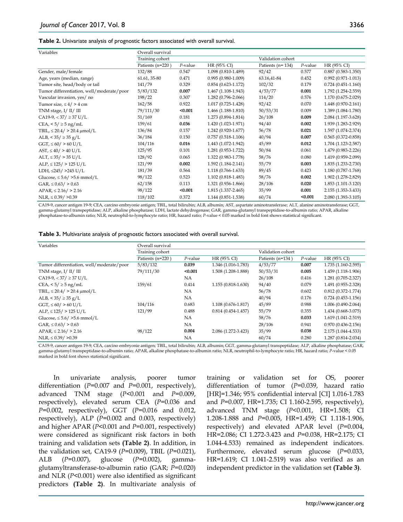| Variables                                 | Overall survival |            |                        |                        |            |                        |
|-------------------------------------------|------------------|------------|------------------------|------------------------|------------|------------------------|
|                                           | Training cohort  |            | Validation cohort      |                        |            |                        |
|                                           | Patients (n=220) | $P$ -value | HR (95% CI)            | Patients ( $n = 134$ ) | $P$ -value | HR (95% CI)            |
| Gender, male/female                       | 132/88           | 0.547      | 1.098 (0.810-1.489)    | 92/42                  | 0.577      | $0.887(0.583 - 1.350)$ |
| Age, years (median, range)                | 61.61, 35-80     | 0.471      | $0.995(0.980-1.009)$   | 63.16,41-84            | 0.452      | $0.992(0.971 - 1.013)$ |
| Tumor site, head/body or tail             | 141/79           | 0.329      | $0.854(0.623 - 1.172)$ | 102/32                 | 0.179      | $0.724(0.451-1.160)$   |
| Tumor differentiation, well/moderate/poor | 5/83/132         | 0.007      | $1.467(1.108-1.943)$   | 4/53/77                | 0.001      | 1.792 (1.254-2.559)    |
| Vascular invasion, yes/ no                | 198/22           | 0.307      | 1.282 (0.796-2.066)    | 114/20                 | 0.576      | 1.170 (0.675-2.029)    |
| Tumor size, $\leq 4/$ > 4 cm              | 162/58           | 0.922      | $1.017(0.725 - 1.428)$ | 92/42                  | 0.070      | 1.448 (0.970-2.161)    |
| TNM stage, $I/II/III$                     | 79/111/30        | < 0.001    | $1.466(1.188-1.810)$   | 50/53/31               | 0.009      | 1.389 (1.084-1.780)    |
| $CA19-9$ , < 37 / $\geq$ 37 U/L           | 51/169           | 0.181      | 1.273 (0.894-1.814)    | 26/108                 | 0.009      | 2.084 (1.197-3.628)    |
| CEA, $< 5 / \ge 5$ ng/mL                  | 159/61           | 0.036      | 1.420 (1.023-1.971)    | 94/40                  | 0.002      | 1.939 (1.283-2.929)    |
| TBIL, $\leq 20.4$ / > 20.4 $\mu$ mol/L    | 136/84           | 0.157      | 1.242 (0.920-1.677)    | 56/78                  | 0.021      | 1.597 (1.074-2.374)    |
| ALB, $< 35 / \ge 35$ g/L                  | 36/184           | 0.150      | $0.757(0.518-1.106)$   | 40/94                  | 0.007      | $0.565(0.372 - 0.858)$ |
| $GGT$ , $\leq 60$ / $> 60$ U/L            | 104/116          | 0.016      | 1.443 (1.072-1.942)    | 45/89                  | 0.012      | 1.704 (1.123-2.587)    |
| $AST, \leq 40/$ > 40 U/L                  | 125/95           | 0.101      | 1.281 (0.953-1.722)    | 50/84                  | 0.061      | 1.479 (0.983-2.226)    |
| $ALT, \leq 35/ > 35 U/L$                  | 128/92           | 0.065      | 1.322 (0.983-1.778)    | 58/76                  | 0.080      | 1.419 (0.959-2.099)    |
| $ALP$ , $\leq$ 125/ > 125 U/L             | 121/99           | 0.002      | $1.592(1.184 - 2.141)$ | 55/79                  | 0.003      | 1.835 (1.233-2.730)    |
| LDH, $\leq$ 245/ >245 U/L                 | 181/39           | 0.564      | 1.118 (0.766-1.633)    | 89/45                  | 0.423      | 1.180 (0.787-1.768)    |
| Glucose, $\leq 5.6/$ >5.6 mmol/L          | 98/122           | 0.523      | $1.102(0.818 - 1.483)$ | 58/76                  | 0.002      | 1.902 (1.278-2.829)    |
| $GAR$ , $\leq$ 0.63/ > 0.63               | 62/158           | 0.113      | 1.321 (0.936-1.866)    | 28/106                 | 0.020      | 1.853 (1.101-3.120)    |
| $APAR$ , $\leq$ 2.16/ > 2.16              | 98/122           | < 0.001    | 1.815 (1.337-2.465)    | 35/99                  | 0.001      | 2.155 (1.353-3.433)    |
| $NLR$ , $\leq$ 0.39/ $>$ 0.39             | 118/102          | 0.372      | 1.144 (0.851-1.538)    | 60/74                  | < 0.001    | 2.080 (1.393-3.105)    |

CA19-9, cancer antigen 19-9; CEA, carcino embryonie antigen; TBIL, total bilirubin; ALB, albumin; AST, aspartate aminotransferase; ALT, alanine aminotransferase; GGT, gamma-glutamyl transpeptidase; ALP, alkaline phosphatase; LDH, lactate dehydrogenase; GAR, gamma-glutamyl transpeptidase-to-albumin ratio; APAR, alkaline phosphatase-to-albumin ratio; NLR, neutrophil-to-lymphocyte ratio; HR, hazard ratio; *P*-value < 0.05 marked in bold font shows statistical significant.

|  |  |  |  |  |  |  | Table 3. Multivariate analysis of prognostic factors associated with overall survival. |
|--|--|--|--|--|--|--|----------------------------------------------------------------------------------------|
|--|--|--|--|--|--|--|----------------------------------------------------------------------------------------|

| Variables                                 | Overall survival |            |                        |                  |            |                        |
|-------------------------------------------|------------------|------------|------------------------|------------------|------------|------------------------|
|                                           | Training cohort  |            | Validation cohort      |                  |            |                        |
|                                           | Patients (n=220) | $P$ -value | HR (95% CI)            | Patients (n=134) | $P$ -value | HR (95% CI)            |
| Tumor differentiation, well/moderate/poor | 5/83/132         | 0.039      | 1.346 (1.016-1.783)    | 4/53/77          | 0.007      | 1.735 (1.160-2.595)    |
| TNM stage, $I/II/III$                     | 79/111/30        | < 0.001    | 1.508 (1.208-1.888)    | 50/53/31         | 0.005      | 1.459 (1.118-1.906)    |
| $CA19-9$ , < 37 / $\geq$ 37 U/L           |                  | NA.        |                        | 26/108           | 0.416      | 1.281 (0.705-2.327)    |
| CEA, $< 5/ \geq 5$ ng/mL                  | 159/61           | 0.414      | $1.155(0.818 - 1.630)$ | 94/40            | 0.079      | 1.491 (0.955-2.328)    |
| TBIL, $\leq 20.4$ / $> 20.4$ $\mu$ mol/L  |                  | NA.        |                        | 56/78            | 0.602      | $0.812(0.372 - 1.774)$ |
| ALB, $< 35 / \ge 35$ g/L                  |                  | NA.        |                        | 40/94            | 0.176      | $0.724(0.453 - 1.156)$ |
| $GGT$ , $\leq 60/$ > 60 U/L               | 104/116          | 0.683      | 1.108 (0.676-1.817)    | 45/89            | 0.988      | $1.006(0.490-2.064)$   |
| $ALP$ , $\leq$ 125/ > 125 U/L             | 121/99           | 0.488      | $0.814(0.454 - 1.457)$ | 55/79            | 0.355      | 1.434 (0.668-3.075)    |
| Glucose, $\leq 5.6/$ >5.6 mmol/L          |                  | NA         |                        | 58/76            | 0.033      | 1.619 (1.041-2.519)    |
| $GAR$ , $\leq$ 0.63/ $>$ 0.63             |                  | NA.        |                        | 28/106           | 0.941      | $0.970(0.436 - 2.156)$ |
| $APAR$ , $\leq$ 2.16/ > 2.16              | 98/122           | 0.004      | 2.086 (1.272-3.423)    | 35/99            | 0.038      | 2.175 (1.044-4.533)    |
| $NLR$ , $\leq$ 0.39/ $>$ 0.39             |                  | NA.        |                        | 60/74            | 0.280      | 1.287 (0.814-2.034)    |

CA19-9, cancer antigen 19-9; CEA, carcino embryonie antigen; TBIL, total bilirubin; ALB, albumin; GGT, gamma-glutamyl transpeptidase; ALP, alkaline phosphatase; GAR, gamma-glutamyl transpeptidase-to-albumin ratio; APAR, alkaline phosphatase-to-albumin ratio; NLR, neutrophil-to-lymphocyte ratio; HR, hazard ratio; *P*-value < 0.05 marked in bold font shows statistical significant.

In univariate analysis, poorer tumor differentiation (*P*=0.007 and *P*=0.001, respectively), advanced TNM stage (*P*<0.001 and *P*=0.009, respectively), elevated serum CEA (*P*=0.036 and *P*=0.002, respectively), GGT (*P*=0.016 and 0.012, respectively), ALP (*P*=0.002 and 0.003, respectively) and higher APAR (*P*<0.001 and *P*=0.001, respectively) were considered as significant risk factors in both training and validation sets **(Table 2)**. In addition, in the validation set, CA19-9 (*P*=0.009), TBIL (*P*=0.021), ALB (*P*=0.007), glucose (*P*=0.002), gammaglutamyltransferase-to-albumin ratio (GAR; *P*=0.020) and NLR (*P*<0.001) were also identified as significant predictors **(Table 2)**. In multivariate analysis of training or validation set for OS, poorer differentiation of tumor (*P*=0.039, hazard ratio [HR]=1.346; 95% confidential interval [CI] 1.016-1.783 and *P*=0.007, HR=1.735; CI 1.160-2.595, respectively), advanced TNM stage (*P*<0.001, HR=1.508; CI 1.208-1.888 and *P*=0.005, HR=1.459; CI 1.118-1.906, respectively) and elevated APAR level (*P*=0.004, HR=2.086; CI 1.272-3.423 and *P*=0.038, HR=2.175; CI 1.044-4.533) remained as independent indicators. Furthermore, elevated serum glucose (*P*=0.033, HR=1.619; CI 1.041-2.519) was also verified as an independent predictor in the validation set **(Table 3)**.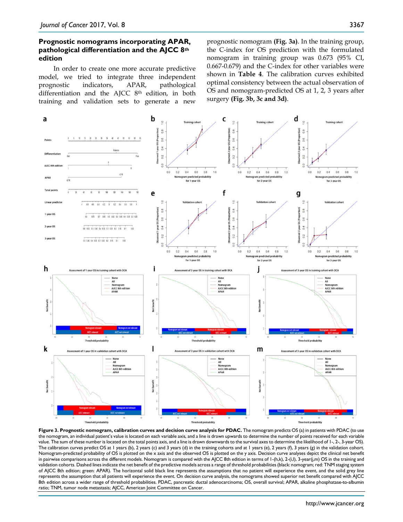## **Prognostic nomograms incorporating APAR, pathological differentiation and the AJCC 8th edition**

In order to create one more accurate predictive model, we tried to integrate three independent prognostic indicators, APAR, pathological differentiation and the AJCC 8th edition, in both training and validation sets to generate a new prognostic nomogram **(Fig. 3a)**. In the training group, the C-index for OS prediction with the formulated nomogram in training group was 0.673 (95% CI, 0.667-0.679) and the C-index for other variables were shown in **Table 4**. The calibration curves exhibited optimal consistency between the actual observation of OS and nomogram-predicted OS at 1, 2, 3 years after surgery **(Fig. 3b, 3c and 3d)**.



**Figure 3. Prognostic nomogram, calibration curves and decision curve analysis for PDAC.** The nomogram predicts OS (a) in patients with PDAC (to use the nomogram, an individual patient's value is located on each variable axis, and a line is drawn upwards to determine the number of points received for each variable value. The sum of these number is located on the total points axis, and a line is drawn downwards to the survival axes to determine the likelihood of 1-, 2-, 3-year OS). The calibration curves predict OS at 1 years (b), 2 years (c) and 3 years (d) in the training cohorts and at 1 years (e), 2 years (f), 3 years (g) in the validation cohort. Nomogram-predicted probability of OS is plotted on the x axis and the observed OS is plotted on the y axis. Decision curve analyses depict the clinical net benefit in pairwise comparisons across the different models. Nomogram is compared with the AJCC 8th edition in terms of 1-(h,k), 2-(i,l), 3-year(j,m) OS in the training and validation cohorts. Dashed lines indicate the net benefit of the predictive models across a range of threshold probabilities (black: nomogram; red: TNM staging system of AJCC 8th edition; green: APAR). The horizontal solid black line represents the assumptions that no patient will experience the event, and the solid grey line represents the assumption that all patients will experience the event. On decision curve analysis, the nomograms showed superior net benefit compared with AJCC 8th edition across a wider range of threshold probabilities. PDAC, pancreatic ductal adenocarcinoma; OS, overall survival; APAR, alkaline phosphatase-to-albumin ratio; TNM, tumor node metastasis; AJCC, American Joint Committee on Cancer.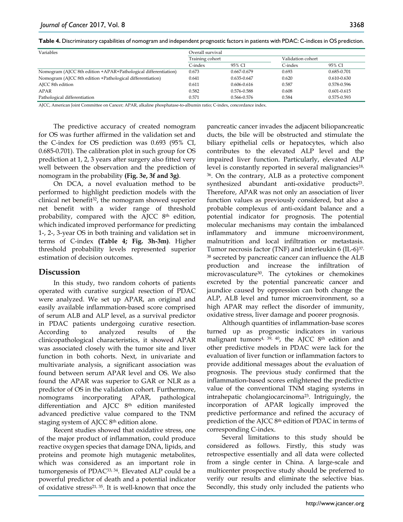|  |  | Table 4. Discriminatory capabilities of nomogram and independent prognostic factors in patients with PDAC: C-indices in OS prediction. |  |
|--|--|----------------------------------------------------------------------------------------------------------------------------------------|--|
|--|--|----------------------------------------------------------------------------------------------------------------------------------------|--|

| Variables                                                      | Overall survival |             |                   |                 |
|----------------------------------------------------------------|------------------|-------------|-------------------|-----------------|
|                                                                | Training cohort  |             | Validation cohort |                 |
|                                                                | C-index          | 95% CI      | C-index           | 95% CI          |
| Nomogram (AJCC 8th edition +APAR+Pathological differentiation) | 0.673            | 0.667-0.679 | 0.693             | 0.685-0.701     |
| Nomogram (AJCC 8th edition +Pathological differentiation)      | 0.641            | 0.635-0.647 | 0.620             | $0.610 - 0.630$ |
| AJCC 8th edition                                               | 0.611            | 0.606-0.616 | 0.587             | 0.578-0.596     |
| <b>APAR</b>                                                    | 0.582            | 0.576-0.588 | 0.608             | $0.601 - 0.615$ |
| Pathological differentiation                                   | 0.571            | 0.566-0.576 | 0.584             | 0.575-0.593     |

AJCC, American Joint Committee on Cancer; APAR, alkaline phosphatase-to-albumin ratio; C-index, concordance index.

The predictive accuracy of created nomogram for OS was further affirmed in the validation set and the C-index for OS prediction was 0.693 (95% CI, 0.685-0.701). The calibration plot in such group for OS prediction at 1, 2, 3 years after surgery also fitted very well between the observation and the prediction of nomogram in the probability **(Fig. 3e, 3f and 3g)**.

On DCA, a novel evaluation method to be performed to highlight prediction models with the clinical net benefit<sup>32</sup>, the nomogram showed superior net benefit with a wider range of threshold probability, compared with the AJCC 8th edition, which indicated improved performance for predicting 1-, 2-, 3-year OS in both training and validation set in terms of C-index **(Table 4; Fig. 3h-3m)**. Higher threshold probability levels represented superior estimation of decision outcomes.

# **Discussion**

In this study, two random cohorts of patients operated with curative surgical resection of PDAC were analyzed. We set up APAR, an original and easily available inflammation-based score comprised of serum ALB and ALP level, as a survival predictor in PDAC patients undergoing curative resection. According to analyzed results of the clinicopathological characteristics, it showed APAR was associated closely with the tumor site and liver function in both cohorts. Next, in univariate and multivariate analysis, a significant association was found between serum APAR level and OS. We also found the APAR was superior to GAR or NLR as a predictor of OS in the validation cohort. Furthermore, nomograms incorporating APAR, pathological differentiation and AJCC 8<sup>th</sup> edition manifested advanced predictive value compared to the TNM staging system of AJCC 8th edition alone.

Recent studies showed that oxidative stress, one of the major product of inflammation, could produce reactive oxygen species that damage DNA, lipids, and proteins and promote high mutagenic metabolites, which was considered as an important role in tumorgenesis of PDAC33, 34. Elevated ALP could be a powerful predictor of death and a potential indicator of oxidative stress21, 35. It is well-known that once the pancreatic cancer invades the adjacent biliopancreatic ducts, the bile will be obstructed and stimulate the biliary epithelial cells or hepatocytes, which also contributes to the elevated ALP level and the impaired liver function. Particularly, elevated ALP level is constantly reported in several malignancies<sup>18,</sup> 36. On the contrary, ALB as a protective component synthesized abundant anti-oxidative products<sup>23</sup>. Therefore, APAR was not only an association of liver function values as previously considered, but also a probable complexus of anti-oxidant balance and a potential indicator for prognosis. The potential molecular mechanisms may contain the imbalanced inflammatory and immune microenvironment, malnutrition and local infiltration or metastasis. Tumor necrosis factor (TNF) and interleukin 6 (IL-6)37, <sup>38</sup> secreted by pancreatic cancer can influence the ALB production and increase the infiltration microvasculature30. The cytokines or chemokines excreted by the potential pancreatic cancer and jaundice caused by oppression can both change the ALP, ALB level and tumor microenvironment, so a high APAR may reflect the disorder of immunity, oxidative stress, liver damage and poorer prognosis.

Although quantities of inflammation-base scores turned up as prognostic indicators in various malignant tumors<sup>4, 39, 40</sup>, the AJCC 8<sup>th</sup> edition and other predictive models in PDAC were lack for the evaluation of liver function or inflammation factors to provide additional messages about the evaluation of prognosis. The previous study confirmed that the inflammation-based scores enlightened the predictive value of the conventional TNM staging systems in intrahepatic cholangiocarcinoma23. Intriguingly, the incorporation of APAR logically improved the predictive performance and refined the accuracy of prediction of the AJCC 8th edition of PDAC in terms of corresponding C-index.

Several limitations to this study should be considered as follows. Firstly, this study was retrospective essentially and all data were collected from a single center in China. A large-scale and multicenter prospective study should be preferred to verify our results and eliminate the selective bias. Secondly, this study only included the patients who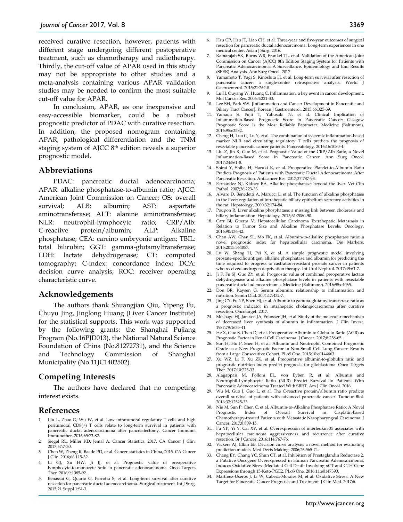received curative resection, however, patients with different stage undergoing different postoperative treatment, such as chemotherapy and radiotherapy. Thirdly, the cut-off value of APAR used in this study may not be appropriate to other studies and a meta-analysis containing various APAR validation studies may be needed to confirm the most suitable cut-off value for APAR.

In conclusion, APAR, as one inexpensive and easy-accessible biomarker, could be a robust prognostic predictor of PDAC with curative resection. In addition, the proposed nomogram containing APAR, pathological differentiation and the TNM staging system of AJCC 8th edition reveals a superior prognostic model.

#### **Abbreviations**

PDAC: pancreatic ductal adenocarcinoma; APAR: alkaline phosphatase-to-albumin ratio; AJCC: American Joint Commission on Cancer; OS: overall survival; ALB: albumin; AST: aspartate aminotransferase; ALT: alanine aminotransferase; NLR: neutrophil-lymphocyte ratio; CRP/Alb: C-reactive protein/albumin; ALP: Alkaline phosphatase; CEA: carcino embryonie antigen; TBIL: total bilirubin; GGT: gamma-glutamyltransferase; LDH: lactate dehydrogenase; CT: computed tomography; C-index: concordance index; DCA: decision curve analysis; ROC: receiver operating characteristic curve.

#### **Acknowledgements**

The authors thank Shuangjian Qiu, Yipeng Fu, Chuyu Jing, Jinglong Huang (Liver Cancer Institute) for the statistical supports. This work was supported by the following grants: the Shanghai Pujiang Program (No.16PJD013), the National Natural Science Foundation of China (No.81272731), and the Science and Technology Commission of Shanghai Municipality (No.11JC1402502).

## **Competing Interests**

The authors have declared that no competing interest exists.

## **References**

- 1. Liu L, Zhao G, Wu W, et al. Low intratumoral regulatory T cells and high peritumoral CD8(+) T cells relate to long-term survival in patients with pancreatic ductal adenocarcinoma after pancreatectomy. Cancer Immunol Immunother. 2016;65:73-82.
- 2. Siegel RL, Miller KD, Jemal A. Cancer Statistics, 2017. CA Cancer J Clin. 2017;67:7-30.
- 3. Chen W, Zheng R, Baade PD, et al. Cancer statistics in China, 2015. CA Cancer J Clin. 2016;66:115-32.
- 4. Li GJ, Xu HW, Ji JJ, et al. Prognostic value of preoperative lymphocyte-to-monocyte ratio in pancreatic adenocarcinoma. Onco Targets Ther. 2016;9:1085-92.
- 5. Benassai G, Quarto G, Perrotta S, et al. Long-term survival after curative resection for pancreatic ductal adenocarcinoma--Surgical treatment. Int J Surg. 2015;21 Suppl 1:S1-3.
- 6. Hsu CP, Hsu JT, Liao CH, et al. Three-year and five-year outcomes of surgical resection for pancreatic ductal adenocarcinoma: Long-term experiences in one medical center. Asian J Surg. 2016.
- 7. Kamarajah SK, Burns WR, Frankel TL, et al. Validation of the American Joint Commission on Cancer (AJCC) 8th Edition Staging System for Patients with Pancreatic Adenocarcinoma: A Surveillance, Epidemiology and End Results (SEER) Analysis. Ann Surg Oncol. 2017.
- 8. Yamamoto T, Yagi S, Kinoshita H, et al. Long-term survival after resection of pancreatic cancer: a single-center retrospective analysis. World J Gastroenterol. 2015;21:262-8.
- 9. Lu H, Ouyang W, Huang C. Inflammation, a key event in cancer development. Mol Cancer Res. 2006;4:221-33.
- 10. Lee SH, Park SW. [Inflammation and Cancer Development in Pancreatic and Biliary Tract Cancer]. Korean J Gastroenterol. 2015;66:325-39.
- 11. Yamada S, Fujii T, Yabusaki N, et al. Clinical Implication of Inflammation-Based Prognostic Score in Pancreatic Cancer: Glasgow Prognostic Score Is the Most Reliable Parameter. Medicine (Baltimore). 2016;95:e3582.
- 12. Cheng H, Luo G, Lu Y, et al. The combination of systemic inflammation-based marker NLR and circulating regulatory T cells predicts the prognosis of resectable pancreatic cancer patients. Pancreatology. 2016;16:1080-4.
- 13. Liu Z, Jin K, Guo M, et al. Prognostic Value of the CRP/Alb Ratio, a Novel Inflammation-Based Score in Pancreatic Cancer. Ann Surg Oncol. 2017;24:561-8.
- 14. Shirai Y, Shiba H, Haruki K, et al. Preoperative Platelet-to-Albumin Ratio Predicts Prognosis of Patients with Pancreatic Ductal Adenocarcinoma After Pancreatic Resection. Anticancer Res. 2017;37:787-93.
- 15. Fernandez NJ, Kidney BA. Alkaline phosphatase: beyond the liver. Vet Clin Pathol. 2007;36:223-33.
- 16. Alvaro D, Benedetti A, Marucci L, et al. The function of alkaline phosphatase in the liver: regulation of intrahepatic biliary epithelium secretory activities in the rat. Hepatology. 2000;32:174-84.
- 17. Poupon R. Liver alkaline phosphatase: a missing link between choleresis and biliary inflammation. Hepatology. 2015;61:2080-90.
- Carr BI, Guerra V. Hepatocellular Carcinoma Extrahepatic Metastasis in Relation to Tumor Size and Alkaline Phosphatase Levels. Oncology. 2016;90:136-42.
- 19. Chan AW, Chan SL, Mo FK, et al. Albumin-to-alkaline phosphatase ratio: a novel prognostic index for hepatocellular carcinoma. Dis Markers. 2015;2015:564057.
- 20. Lv W, Shang H, Pei X, et al. A simple prognostic model involving prostate-specific antigen, alkaline phosphatase and albumin for predicting the time required to progress to castration-resistant prostate cancer in patients who received androgen deprivation therapy. Int Urol Nephrol. 2017;49:61-7.
- 21. Ji F, Fu SJ, Guo ZY, et al. Prognostic value of combined preoperative lactate dehydrogenase and alkaline phosphatase levels in patients with resectable pancreatic ductal adenocarcinoma. Medicine (Baltimore). 2016;95:e4065.
- 22. Don BR, Kaysen G. Serum albumin: relationship to inflammation and nutrition. Semin Dial. 2004;17:432-7.
- 23. Jing CY, Fu YP, Shen HJ, et al. Albumin to gamma-glutamyltransferase ratio as a prognostic indicator in intrahepatic cholangiocarcinoma after curative resection. Oncotarget. 2017.
- 24. Moshage HJ, Janssen JA, Franssen JH, et al. Study of the molecular mechanism of decreased liver synthesis of albumin in inflammation. J Clin Invest. 1987;79:1635-41.
- 25. He X, Guo S, Chen D, et al. Preoperative Albumin to Globulin Ratio (AGR) as Prognostic Factor in Renal Cell Carcinoma. J Cancer. 2017;8:258-65.
- 26. Sun H, Hu P, Shen H, et al. Albumin and Neutrophil Combined Prognostic Grade as a New Prognostic Factor in Non-Small Cell Lung Cancer: Results from a Large Consecutive Cohort. PLoS One. 2015;10:e0144663.
- 27. Xu WZ, Li F, Xu ZK, et al. Preoperative albumin-to-globulin ratio and prognostic nutrition index predict prognosis for glioblastoma. Onco Targets Ther. 2017;10:725-33.
- 28. Alagappan M, Pollom EL, von Eyben R, et al. Albumin and Neutrophil-Lymphocyte Ratio (NLR) Predict Survival in Patients With Pancreatic Adenocarcinoma Treated With SBRT. Am J Clin Oncol. 2016.
- 29. Wu M, Guo J, Guo L, et al. The C-reactive protein/albumin ratio predicts overall survival of patients with advanced pancreatic cancer. Tumour Biol. 2016;37:12525-33.
- 2013. Nie M, Sun P, Chen C, et al. Albumin-to-Alkaline Phosphatase Ratio: A Novel<br>Prognostic Index of Overall Survival in Cisplatin-based of Overall Survival in Cisplatin-based Chemotherapy-treated Patients with Metastatic Nasopharyngeal Carcinoma. J Cancer. 2017;8:809-15.
- 31. Fu YP, Yi Y, Cai XY, et al. Overexpression of interleukin-35 associates with hepatocellular carcinoma aggressiveness and recurrence after curative resection. Br J Cancer. 2016;114:767-76.
- 32. Vickers AJ, Elkin EB. Decision curve analysis: a novel method for evaluating prediction models. Med Decis Making. 2006;26:565-74.
- 33. Chang EY, Chang YC, Shun CT, et al. Inhibition of Prostaglandin Reductase 2, a Putative Oncogene Overexpressed in Human Pancreatic Adenocarcinoma, Induces Oxidative Stress-Mediated Cell Death Involving xCT and CTH Gene Expressions through 15-Keto-PGE2. PLoS One. 2016;11:e0147390.
- 34. Martinez-Useros J, Li W, Cabeza-Morales M, et al. Oxidative Stress: A New Target for Pancreatic Cancer Prognosis and Treatment. J Clin Med. 2017;6.